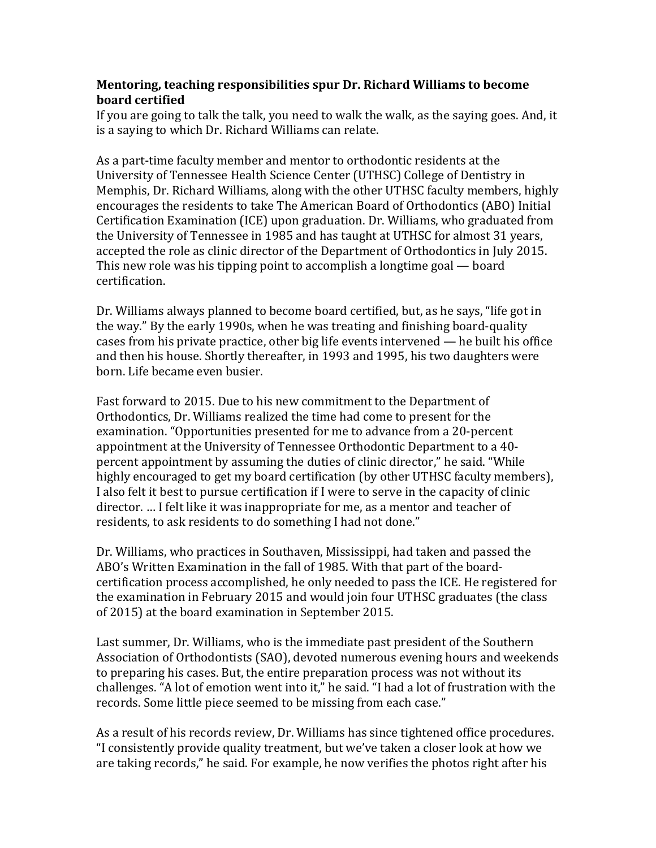## **Mentoring, teaching responsibilities spur Dr. Richard Williams to become board certified**

If you are going to talk the talk, you need to walk the walk, as the saying goes. And, it is a saying to which Dr. Richard Williams can relate.

As a part-time faculty member and mentor to orthodontic residents at the University of Tennessee Health Science Center (UTHSC) College of Dentistry in Memphis, Dr. Richard Williams, along with the other UTHSC faculty members, highly encourages the residents to take The American Board of Orthodontics (ABO) Initial Certification Examination (ICE) upon graduation. Dr. Williams, who graduated from the University of Tennessee in 1985 and has taught at UTHSC for almost 31 years, accepted the role as clinic director of the Department of Orthodontics in July 2015. This new role was his tipping point to accomplish a longtime goal — board certification.

Dr. Williams always planned to become board certified, but, as he says, "life got in the way." By the early 1990s, when he was treating and finishing board-quality cases from his private practice, other big life events intervened — he built his office and then his house. Shortly thereafter, in 1993 and 1995, his two daughters were born. Life became even busier.

Fast forward to 2015. Due to his new commitment to the Department of Orthodontics, Dr. Williams realized the time had come to present for the examination. "Opportunities presented for me to advance from a 20-percent appointment at the University of Tennessee Orthodontic Department to a 40 percent appointment by assuming the duties of clinic director," he said. "While highly encouraged to get my board certification (by other UTHSC faculty members), I also felt it best to pursue certification if I were to serve in the capacity of clinic director. … I felt like it was inappropriate for me, as a mentor and teacher of residents, to ask residents to do something I had not done."

Dr. Williams, who practices in Southaven, Mississippi, had taken and passed the ABO's Written Examination in the fall of 1985. With that part of the boardcertification process accomplished, he only needed to pass the ICE. He registered for the examination in February 2015 and would join four UTHSC graduates (the class of 2015) at the board examination in September 2015.

Last summer, Dr. Williams, who is the immediate past president of the Southern Association of Orthodontists (SAO), devoted numerous evening hours and weekends to preparing his cases. But, the entire preparation process was not without its challenges. "A lot of emotion went into it," he said. "I had a lot of frustration with the records. Some little piece seemed to be missing from each case."

As a result of his records review, Dr. Williams has since tightened office procedures. "I consistently provide quality treatment, but we've taken a closer look at how we are taking records," he said. For example, he now verifies the photos right after his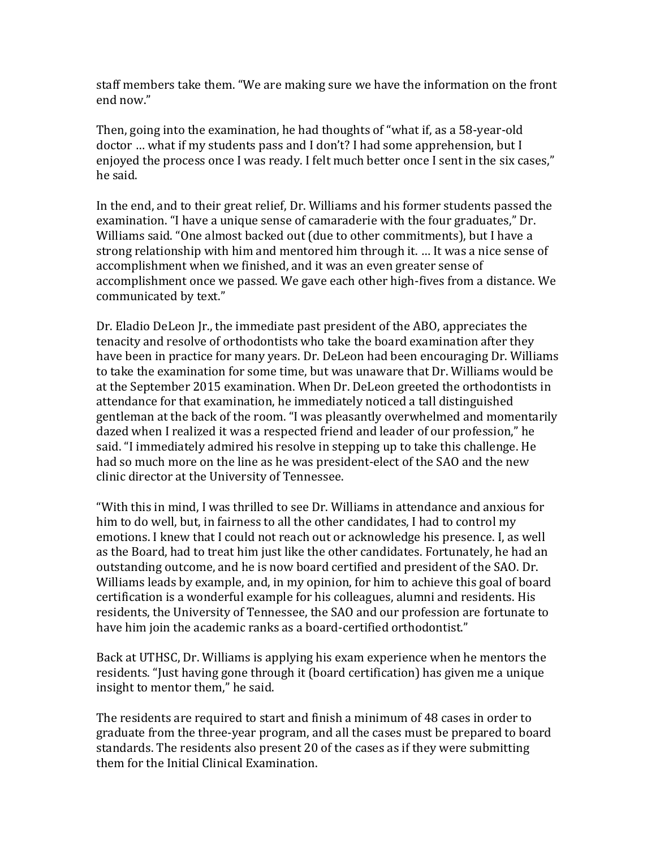staff members take them. "We are making sure we have the information on the front end now."

Then, going into the examination, he had thoughts of "what if, as a 58-year-old doctor … what if my students pass and I don't? I had some apprehension, but I enjoyed the process once I was ready. I felt much better once I sent in the six cases," he said.

In the end, and to their great relief, Dr. Williams and his former students passed the examination. "I have a unique sense of camaraderie with the four graduates," Dr. Williams said. "One almost backed out (due to other commitments), but I have a strong relationship with him and mentored him through it. … It was a nice sense of accomplishment when we finished, and it was an even greater sense of accomplishment once we passed. We gave each other high-fives from a distance. We communicated by text."

Dr. Eladio DeLeon Jr., the immediate past president of the ABO, appreciates the tenacity and resolve of orthodontists who take the board examination after they have been in practice for many years. Dr. DeLeon had been encouraging Dr. Williams to take the examination for some time, but was unaware that Dr. Williams would be at the September 2015 examination. When Dr. DeLeon greeted the orthodontists in attendance for that examination, he immediately noticed a tall distinguished gentleman at the back of the room. "I was pleasantly overwhelmed and momentarily dazed when I realized it was a respected friend and leader of our profession," he said. "I immediately admired his resolve in stepping up to take this challenge. He had so much more on the line as he was president-elect of the SAO and the new clinic director at the University of Tennessee.

"With this in mind, I was thrilled to see Dr. Williams in attendance and anxious for him to do well, but, in fairness to all the other candidates, I had to control my emotions. I knew that I could not reach out or acknowledge his presence. I, as well as the Board, had to treat him just like the other candidates. Fortunately, he had an outstanding outcome, and he is now board certified and president of the SAO. Dr. Williams leads by example, and, in my opinion, for him to achieve this goal of board certification is a wonderful example for his colleagues, alumni and residents. His residents, the University of Tennessee, the SAO and our profession are fortunate to have him join the academic ranks as a board-certified orthodontist."

Back at UTHSC, Dr. Williams is applying his exam experience when he mentors the residents. "Just having gone through it (board certification) has given me a unique insight to mentor them," he said.

The residents are required to start and finish a minimum of 48 cases in order to graduate from the three-year program, and all the cases must be prepared to board standards. The residents also present 20 of the cases as if they were submitting them for the Initial Clinical Examination.